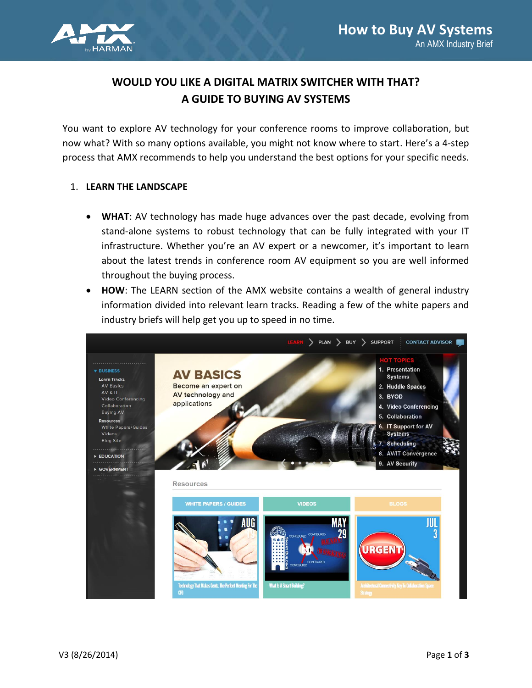

# **WOULD YOU LIKE A DIGITAL MATRIX SWITCHER WITH THAT? A GUIDE TO BUYING AV SYSTEMS**

You want to explore AV technology for your conference rooms to improve collaboration, but now what? With so many options available, you might not know where to start. Here's a 4-step process that AMX recommends to help you understand the best options for your specific needs.

## 1. **LEARN THE LANDSCAPE**

- **WHAT**: AV technology has made huge advances over the past decade, evolving from stand-alone systems to robust technology that can be fully integrated with your IT infrastructure. Whether you're an AV expert or a newcomer, it's important to learn about the latest trends in conference room AV equipment so you are well informed throughout the buying process.
- **HOW**: The LEARN section of the AMX website contains a wealth of general industry information divided into relevant learn tracks. Reading a few of the white papers and industry briefs will help get you up to speed in no time.

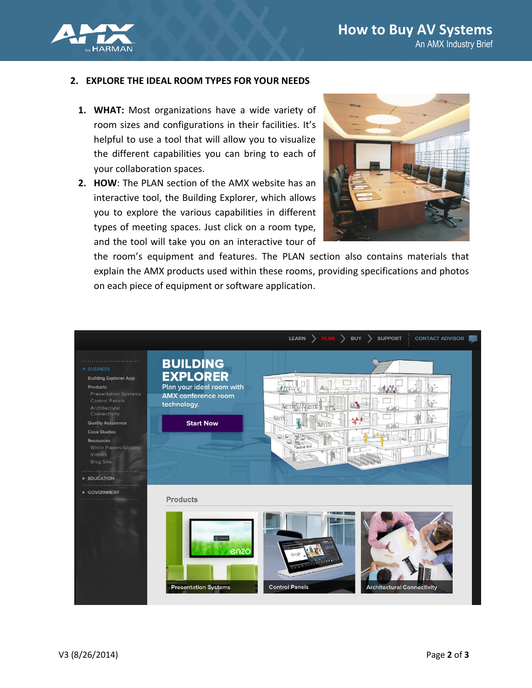

### **2. EXPLORE THE IDEAL ROOM TYPES FOR YOUR NEEDS**

- **1. WHAT:** Most organizations have a wide variety of room sizes and configurations in their facilities. It's helpful to use a tool that will allow you to visualize the different capabilities you can bring to each of your collaboration spaces.
- **2. HOW**: The PLAN section of the AMX website has an interactive tool, the Building Explorer, which allows you to explore the various capabilities in different types of meeting spaces. Just click on a room type, and the tool will take you on an interactive tour of



the room's equipment and features. The PLAN section also contains materials that explain the AMX products used within these rooms, providing specifications and photos on each piece of equipment or software application.